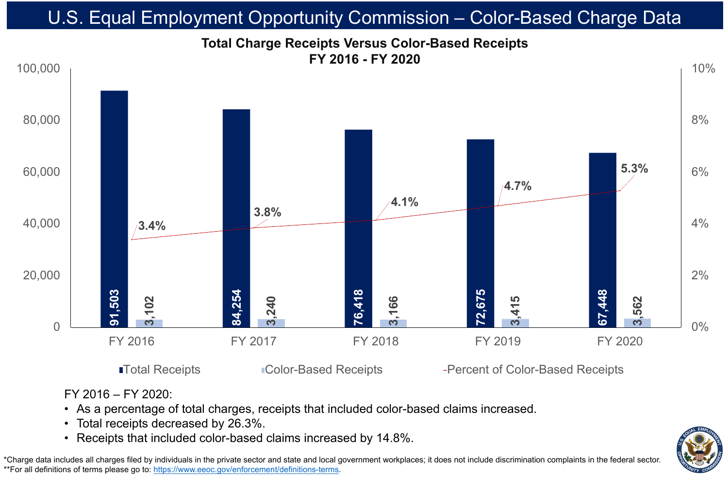FY 2016 – FY 2020: • As a percentage of total charges, receipts that included color-based claims increased. • Total receipts decreased by 26.3%.



\*Charge data includes all charges filed by individuals in the private sector and state and local government workplaces; it does not include discrimination complaints in the federal sector. \*\*For all definitions of terms please go to:<https://www.eeoc.gov/enforcement/definitions-terms>.

# U.S. Equal Employment Opportunity Commission – Color-Based Charge Data

■Total Receipts ■ Color-Based Receipts → Percent of Color-Based Receipts

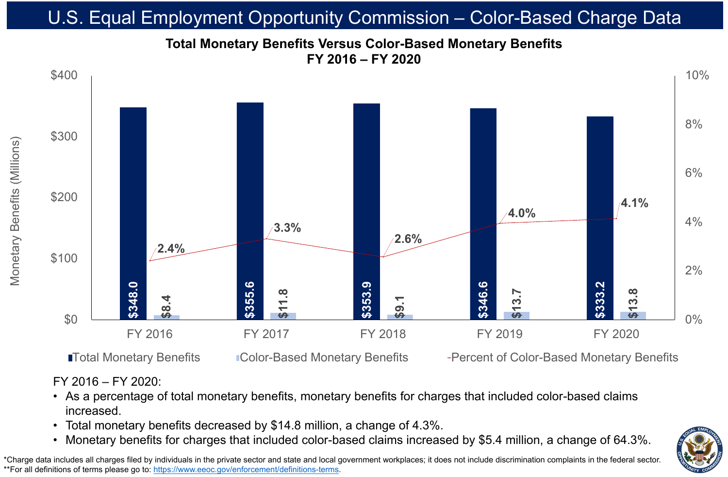## FY 2016 – FY 2020:

- increased.
- 

# • Total monetary benefits decreased by \$14.8 million, a change of 4.3%.



\*Charge data includes all charges filed by individuals in the private sector and state and local government workplaces; it does not include discrimination complaints in the federal sector. \*\*For all definitions of terms please go to:<https://www.eeoc.gov/enforcement/definitions-terms>.

## As a percentage of total monetary benefits, monetary benefits for charges that included color-based claims

## **Total Monetary Benefits Versus Color-Based Monetary Benefits FY 2016 – FY 2020** U.S. Equal Employment Opportunity Commission - Color-Based Charge Datal



**ITotal Monetary Benefits Color-Based Monetary Benefits** Percent of Color-Based Monetary Benefits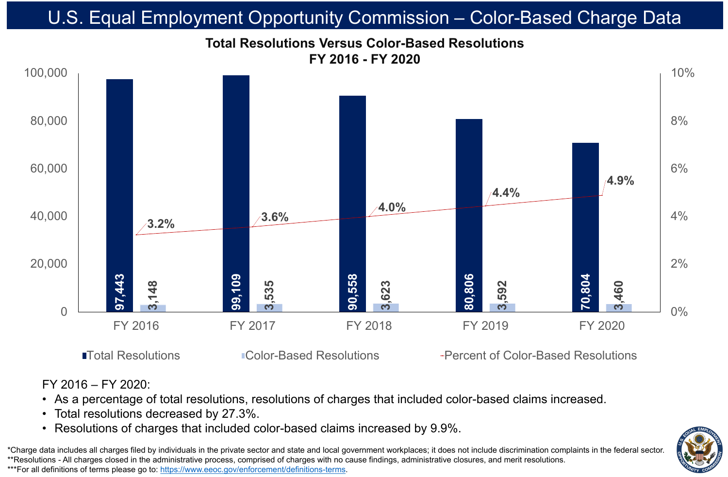

\*Charge data includes all charges filed by individuals in the private sector and state and local government workplaces; it does not include discrimination complaints in the federal sector. \*\*Resolutions - All charges closed in the administrative process, comprised of charges with no cause findings, administrative closures, and merit resolutions. \*\*\*For all definitions of terms please go to:<https://www.eeoc.gov/enforcement/definitions-terms>.

## FY 2016 – FY 2020:

# • As a percentage of total resolutions, resolutions of charges that included color-based claims increased. • Resolutions of charges that included color-based claims increased by 9.9%.

■Total Resolutions 
■Total Resolutions
■Total Resolutions
■Total Resolutions



- 
- Total resolutions decreased by 27.3%.
-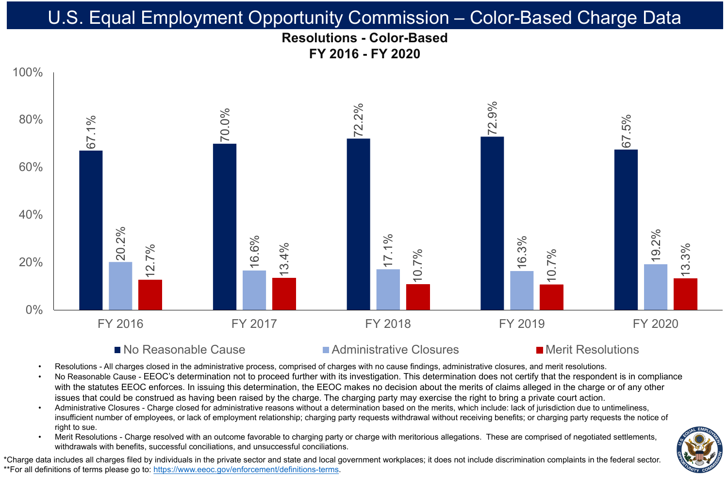## **Resolutions - Color-Based FY 2016 - FY 2020** U.S. Equal Employment Opportunity Commission – Color-Based Charge Data













## ■ No Reasonable Cause Administrative Closures Merit Resolutions

Resolutions - All charges closed in the administrative process, comprised of charges with no cause findings, administrative closures, and merit resolutions. No Reasonable Cause - EEOC's determination not to proceed further with its investigation. This determination does not certify that the respondent is in compliance with the statutes EEOC enforces. In issuing this determination, the EEOC makes no decision about the merits of claims alleged in the charge or of any other issues that could be construed as having been raised by the charge. The charging party may exercise the right to bring a private court action. • Administrative Closures - Charge closed for administrative reasons without a determination based on the merits, which include: lack of jurisdiction due to untimeliness, insufficient number of employees, or lack of employment relationship; charging party requests withdrawal without receiving benefits; or charging party requests the notice of

Merit Resolutions - Charge resolved with an outcome favorable to charging party or charge with meritorious allegations. These are comprised of negotiated settlements, withdrawals with benefits, successful conciliations, and unsuccessful conciliations.

\*Charge data includes all charges filed by individuals in the private sector and state and local government workplaces; it does not include discrimination complaints in the federal sector. \*\*For all definitions of terms please go to:<https://www.eeoc.gov/enforcement/definitions-terms>.

- 
- 
- right to sue.
-